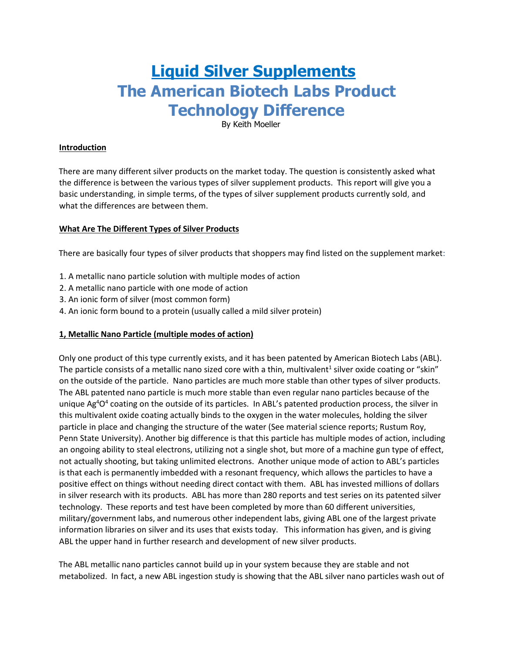# **Liquid Silver Supplements The American Biotech Labs Product Technology Difference**

By Keith Moeller

# **Introduction**

There are many different silver products on the market today. The question is consistently asked what the difference is between the various types of silver supplement products. This report will give you a basic understanding, in simple terms, of the types of silver supplement products currently sold, and what the differences are between them.

# **What Are The Different Types of Silver Products**

There are basically four types of silver products that shoppers may find listed on the supplement market:

- 1. A metallic nano particle solution with multiple modes of action
- 2. A metallic nano particle with one mode of action
- 3. An ionic form of silver (most common form)
- 4. An ionic form bound to a protein (usually called a mild silver protein)

## **1, Metallic Nano Particle (multiple modes of action)**

Only one product of this type currently exists, and it has been patented by American Biotech Labs (ABL). The particle consists of a metallic nano sized core with a thin, multivalent<sup>1</sup> silver oxide coating or "skin" on the outside of the particle. Nano particles are much more stable than other types of silver products. The ABL patented nano particle is much more stable than even regular nano particles because of the unique Ag<sup>4</sup>O<sup>4</sup> coating on the outside of its particles. In ABL's patented production process, the silver in this multivalent oxide coating actually binds to the oxygen in the water molecules, holding the silver particle in place and changing the structure of the water (See material science reports; Rustum Roy, Penn State University). Another big difference is that this particle has multiple modes of action, including an ongoing ability to steal electrons, utilizing not a single shot, but more of a machine gun type of effect, not actually shooting, but taking unlimited electrons. Another unique mode of action to ABL's particles is that each is permanently imbedded with a resonant frequency, which allows the particles to have a positive effect on things without needing direct contact with them. ABL has invested millions of dollars in silver research with its products. ABL has more than 280 reports and test series on its patented silver technology. These reports and test have been completed by more than 60 different universities, military/government labs, and numerous other independent labs, giving ABL one of the largest private information libraries on silver and its uses that exists today. This information has given, and is giving ABL the upper hand in further research and development of new silver products.

The ABL metallic nano particles cannot build up in your system because they are stable and not metabolized. In fact, a new ABL ingestion study is showing that the ABL silver nano particles wash out of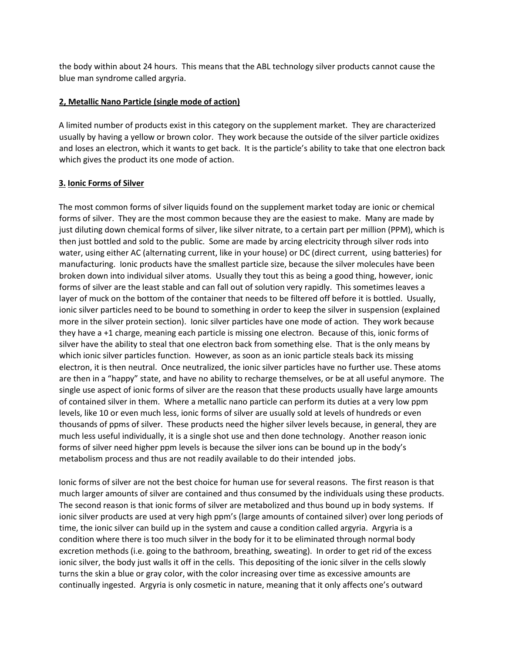the body within about 24 hours. This means that the ABL technology silver products cannot cause the blue man syndrome called argyria.

## **2, Metallic Nano Particle (single mode of action)**

A limited number of products exist in this category on the supplement market. They are characterized usually by having a yellow or brown color. They work because the outside of the silver particle oxidizes and loses an electron, which it wants to get back. It is the particle's ability to take that one electron back which gives the product its one mode of action.

#### **3. Ionic Forms of Silver**

The most common forms of silver liquids found on the supplement market today are ionic or chemical forms of silver. They are the most common because they are the easiest to make. Many are made by just diluting down chemical forms of silver, like silver nitrate, to a certain part per million (PPM), which is then just bottled and sold to the public. Some are made by arcing electricity through silver rods into water, using either AC (alternating current, like in your house) or DC (direct current, using batteries) for manufacturing. Ionic products have the smallest particle size, because the silver molecules have been broken down into individual silver atoms. Usually they tout this as being a good thing, however, ionic forms of silver are the least stable and can fall out of solution very rapidly. This sometimes leaves a layer of muck on the bottom of the container that needs to be filtered off before it is bottled. Usually, ionic silver particles need to be bound to something in order to keep the silver in suspension (explained more in the silver protein section). Ionic silver particles have one mode of action. They work because they have a +1 charge, meaning each particle is missing one electron. Because of this, ionic forms of silver have the ability to steal that one electron back from something else. That is the only means by which ionic silver particles function. However, as soon as an ionic particle steals back its missing electron, it is then neutral. Once neutralized, the ionic silver particles have no further use. These atoms are then in a "happy" state, and have no ability to recharge themselves, or be at all useful anymore. The single use aspect of ionic forms of silver are the reason that these products usually have large amounts of contained silver in them. Where a metallic nano particle can perform its duties at a very low ppm levels, like 10 or even much less, ionic forms of silver are usually sold at levels of hundreds or even thousands of ppms of silver. These products need the higher silver levels because, in general, they are much less useful individually, it is a single shot use and then done technology. Another reason ionic forms of silver need higher ppm levels is because the silver ions can be bound up in the body's metabolism process and thus are not readily available to do their intended jobs.

Ionic forms of silver are not the best choice for human use for several reasons. The first reason is that much larger amounts of silver are contained and thus consumed by the individuals using these products. The second reason is that ionic forms of silver are metabolized and thus bound up in body systems. If ionic silver products are used at very high ppm's (large amounts of contained silver) over long periods of time, the ionic silver can build up in the system and cause a condition called argyria. Argyria is a condition where there is too much silver in the body for it to be eliminated through normal body excretion methods (i.e. going to the bathroom, breathing, sweating). In order to get rid of the excess ionic silver, the body just walls it off in the cells. This depositing of the ionic silver in the cells slowly turns the skin a blue or gray color, with the color increasing over time as excessive amounts are continually ingested. Argyria is only cosmetic in nature, meaning that it only affects one's outward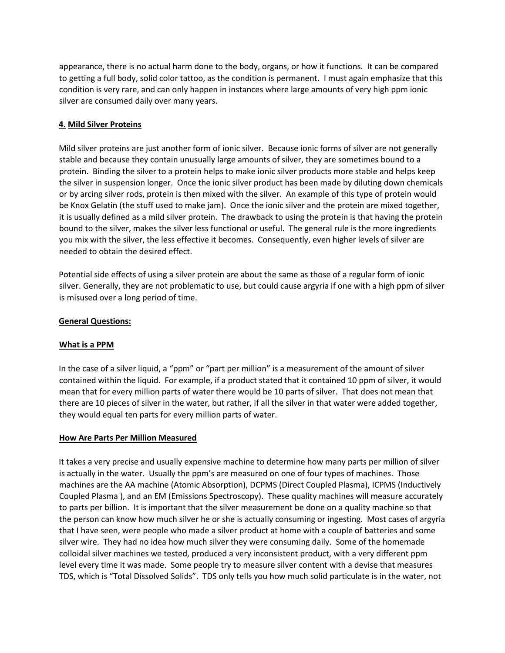appearance, there is no actual harm done to the body, organs, or how it functions. It can be compared to getting a full body, solid color tattoo, as the condition is permanent. I must again emphasize that this condition is very rare, and can only happen in instances where large amounts of very high ppm ionic silver are consumed daily over many years.

## **4. Mild Silver Proteins**

Mild silver proteins are just another form of ionic silver. Because ionic forms of silver are not generally stable and because they contain unusually large amounts of silver, they are sometimes bound to a protein. Binding the silver to a protein helps to make ionic silver products more stable and helps keep the silver in suspension longer. Once the ionic silver product has been made by diluting down chemicals or by arcing silver rods, protein is then mixed with the silver. An example of this type of protein would be Knox Gelatin (the stuff used to make jam). Once the ionic silver and the protein are mixed together, it is usually defined as a mild silver protein. The drawback to using the protein is that having the protein bound to the silver, makes the silver less functional or useful. The general rule is the more ingredients you mix with the silver, the less effective it becomes. Consequently, even higher levels of silver are needed to obtain the desired effect.

Potential side effects of using a silver protein are about the same as those of a regular form of ionic silver. Generally, they are not problematic to use, but could cause argyria if one with a high ppm of silver is misused over a long period of time.

## **General Questions:**

## **What is a PPM**

In the case of a silver liquid, a "ppm" or "part per million" is a measurement of the amount of silver contained within the liquid. For example, if a product stated that it contained 10 ppm of silver, it would mean that for every million parts of water there would be 10 parts of silver. That does not mean that there are 10 pieces of silver in the water, but rather, if all the silver in that water were added together, they would equal ten parts for every million parts of water.

## **How Are Parts Per Million Measured**

It takes a very precise and usually expensive machine to determine how many parts per million of silver is actually in the water. Usually the ppm's are measured on one of four types of machines. Those machines are the AA machine (Atomic Absorption), DCPMS (Direct Coupled Plasma), ICPMS (Inductively Coupled Plasma ), and an EM (Emissions Spectroscopy). These quality machines will measure accurately to parts per billion. It is important that the silver measurement be done on a quality machine so that the person can know how much silver he or she is actually consuming or ingesting. Most cases of argyria that I have seen, were people who made a silver product at home with a couple of batteries and some silver wire. They had no idea how much silver they were consuming daily. Some of the homemade colloidal silver machines we tested, produced a very inconsistent product, with a very different ppm level every time it was made. Some people try to measure silver content with a devise that measures TDS, which is "Total Dissolved Solids". TDS only tells you how much solid particulate is in the water, not